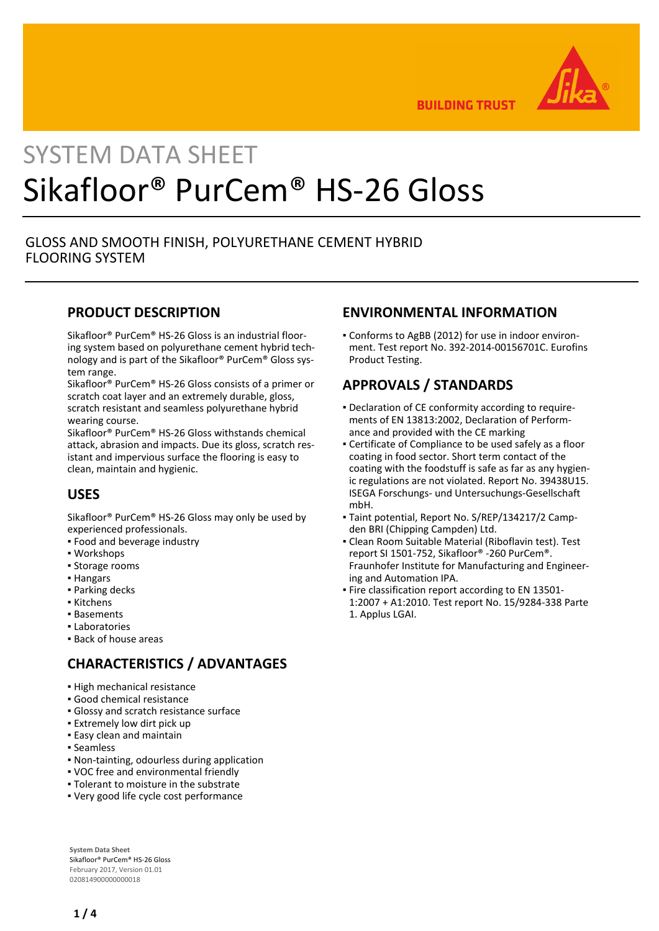

**BUILDING TRUST** 

# SYSTEM DATA SHEET Sikafloor® PurCem® HS-26 Gloss

## GLOSS AND SMOOTH FINISH, POLYURETHANE CEMENT HYBRID FLOORING SYSTEM

## **PRODUCT DESCRIPTION**

Sikafloor® PurCem® HS-26 Gloss is an industrial flooring system based on polyurethane cement hybrid technology and is part of the Sikafloor® PurCem® Gloss system range.

Sikafloor® PurCem® HS-26 Gloss consists of a primer or scratch coat layer and an extremely durable, gloss, scratch resistant and seamless polyurethane hybrid wearing course.

Sikafloor® PurCem® HS-26 Gloss withstands chemical attack, abrasion and impacts. Due its gloss, scratch resistant and impervious surface the flooring is easy to clean, maintain and hygienic.

# **USES**

Sikafloor® PurCem® HS-26 Gloss may only be used by experienced professionals.

- Food and beverage industry
- Workshops
- **· Storage rooms**
- Hangars
- Parking decks
- Kitchens
- Basements
- Laboratories
- Back of house areas

# **CHARACTERISTICS / ADVANTAGES**

- High mechanical resistance
- Good chemical resistance
- Glossy and scratch resistance surface
- **.** Extremely low dirt pick up
- **Easy clean and maintain**
- Seamless
- Non-tainting, odourless during application
- VOC free and environmental friendly
- Tolerant to moisture in the substrate
- Very good life cycle cost performance

**System Data Sheet** Sikafloor® PurCem® HS-26 Gloss February 2017, Version 01.01 020814900000000018

## **ENVIRONMENTAL INFORMATION**

Conforms to AgBB (2012) for use in indoor environ-▪ ment. Test report No. 392-2014-00156701C. Eurofins Product Testing.

## **APPROVALS / STANDARDS**

- Declaration of CE conformity according to require-▪ ments of EN 13813:2002, Declaration of Performance and provided with the CE marking
- Certificate of Compliance to be used safely as a floor coating in food sector. Short term contact of the coating with the foodstuff is safe as far as any hygienic regulations are not violated. Report No. 39438U15. ISEGA Forschungs- und Untersuchungs-Gesellschaft mbH.
- Taint potential, Report No. S/REP/134217/2 Camp-▪ den BRI (Chipping Campden) Ltd.
- Clean Room Suitable Material (Riboflavin test). Test report SI 1501-752, Sikafloor® -260 PurCem®. Fraunhofer Institute for Manufacturing and Engineering and Automation IPA.
- **Fire classification report according to EN 13501-**1:2007 + A1:2010. Test report No. 15/9284-338 Parte 1. Applus LGAI.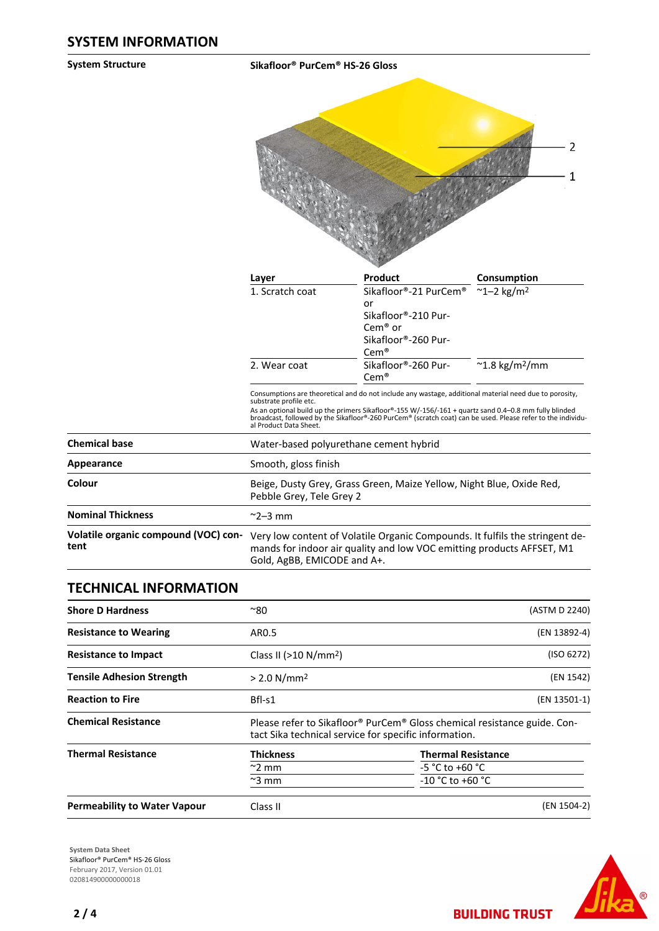**System Structure Sikafloor® PurCem® HS-26 Gloss**

|                 |                                              | 2           |
|-----------------|----------------------------------------------|-------------|
| Layer           | Product                                      | Consumption |
| 1. Scratch coat | Sikafloor®-21 PurCem® ~1-2 kg/m <sup>2</sup> |             |

|                                              | 1. Scrátch coat<br>2. Wear coat                                                                                                                                                      | SIKAHOOM-SALPURCEME TI-Z KRIMA<br>or<br>Sikafloor®-210 Pur-<br>$Cem^{\otimes}$ or<br>Sikafloor®-260 Pur-<br>$\mathsf{Cem}^{\circledast}$<br>Sikafloor®-260 Pur-                                                         | $\sim$ 1.8 kg/m <sup>2</sup> /mm                                                                            |
|----------------------------------------------|--------------------------------------------------------------------------------------------------------------------------------------------------------------------------------------|-------------------------------------------------------------------------------------------------------------------------------------------------------------------------------------------------------------------------|-------------------------------------------------------------------------------------------------------------|
|                                              | substrate profile etc.<br>al Product Data Sheet.                                                                                                                                     | Cem®<br>Consumptions are theoretical and do not include any wastage, additional material need due to porosity,<br>As an optional build up the primers Sikafloor®-155 W/-156/-161 + quartz sand 0.4–0.8 mm fully blinded | broadcast, followed by the Sikafloor®-260 PurCem® (scratch coat) can be used. Please refer to the individu- |
| <b>Chemical base</b>                         | Water-based polyurethane cement hybrid                                                                                                                                               |                                                                                                                                                                                                                         |                                                                                                             |
| Appearance                                   | Smooth, gloss finish                                                                                                                                                                 |                                                                                                                                                                                                                         |                                                                                                             |
| Colour                                       | Beige, Dusty Grey, Grass Green, Maize Yellow, Night Blue, Oxide Red,<br>Pebble Grey, Tele Grey 2                                                                                     |                                                                                                                                                                                                                         |                                                                                                             |
| <b>Nominal Thickness</b>                     | $\sim$ 2–3 mm                                                                                                                                                                        |                                                                                                                                                                                                                         |                                                                                                             |
| Volatile organic compound (VOC) con-<br>tent | Very low content of Volatile Organic Compounds. It fulfils the stringent de-<br>mands for indoor air quality and low VOC emitting products AFFSET, M1<br>Gold, AgBB, EMICODE and A+. |                                                                                                                                                                                                                         |                                                                                                             |

## **TECHNICAL INFORMATION**

| <b>Shore D Hardness</b>             | $^{\sim}80$                                                                                                                       | (ASTM D 2240)             |
|-------------------------------------|-----------------------------------------------------------------------------------------------------------------------------------|---------------------------|
| <b>Resistance to Wearing</b>        | AR0.5                                                                                                                             | (EN 13892-4)              |
| <b>Resistance to Impact</b>         | (ISO 6272)<br>Class II ( $>10 N/mm^2$ )                                                                                           |                           |
| <b>Tensile Adhesion Strength</b>    | (EN 1542)<br>$> 2.0$ N/mm <sup>2</sup>                                                                                            |                           |
| <b>Reaction to Fire</b>             | Bfl-s1                                                                                                                            | (EN 13501-1)              |
| <b>Chemical Resistance</b>          | Please refer to Sikafloor® PurCem® Gloss chemical resistance guide. Con-<br>tact Sika technical service for specific information. |                           |
| <b>Thermal Resistance</b>           | <b>Thickness</b>                                                                                                                  | <b>Thermal Resistance</b> |
|                                     | $\sim$ 2 mm                                                                                                                       | $-5 °C$ to $+60 °C$       |
|                                     | $\approx$ 3 mm                                                                                                                    | $-10 °C$ to $+60 °C$      |
| <b>Permeability to Water Vapour</b> | Class II                                                                                                                          | (EN 1504-2)               |

**System Data Sheet** Sikafloor® PurCem® HS-26 Gloss February 2017, Version 01.01 0208149000000000018



**BUILDING TRUST**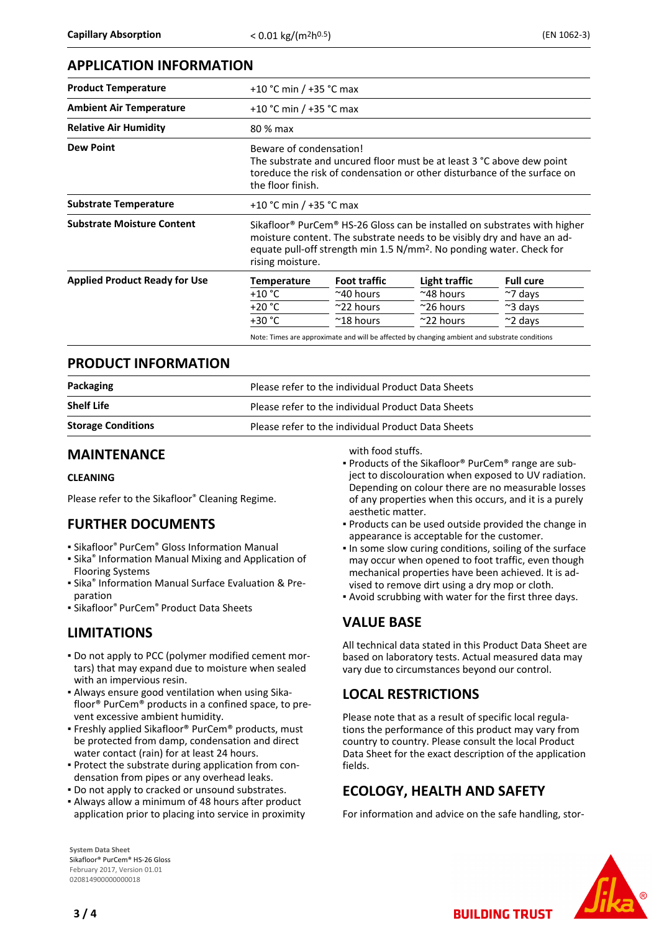### **APPLICATION INFORMATION**

| <b>Product Temperature</b>           |                    | +10 °C min / +35 °C max                                                                                                                                                                                                                                          |                                                                                               |                  |  |
|--------------------------------------|--------------------|------------------------------------------------------------------------------------------------------------------------------------------------------------------------------------------------------------------------------------------------------------------|-----------------------------------------------------------------------------------------------|------------------|--|
| <b>Ambient Air Temperature</b>       |                    | +10 °C min / +35 °C max                                                                                                                                                                                                                                          |                                                                                               |                  |  |
| <b>Relative Air Humidity</b>         | 80 % max           |                                                                                                                                                                                                                                                                  |                                                                                               |                  |  |
| <b>Dew Point</b>                     | the floor finish.  | Beware of condensation!<br>The substrate and uncured floor must be at least 3 °C above dew point<br>toreduce the risk of condensation or other disturbance of the surface on                                                                                     |                                                                                               |                  |  |
| <b>Substrate Temperature</b>         |                    | +10 °C min / +35 °C max                                                                                                                                                                                                                                          |                                                                                               |                  |  |
| <b>Substrate Moisture Content</b>    | rising moisture.   | Sikafloor <sup>®</sup> PurCem <sup>®</sup> HS-26 Gloss can be installed on substrates with higher<br>moisture content. The substrate needs to be visibly dry and have an ad-<br>equate pull-off strength min 1.5 N/mm <sup>2</sup> . No ponding water. Check for |                                                                                               |                  |  |
| <b>Applied Product Ready for Use</b> | <b>Temperature</b> | <b>Foot traffic</b>                                                                                                                                                                                                                                              | Light traffic                                                                                 | <b>Full cure</b> |  |
|                                      | $+10 °C$           | $~\sim$ 40 hours                                                                                                                                                                                                                                                 | $~^{\sim}$ 48 hours                                                                           | $\sim$ 7 days    |  |
|                                      | $+20 °C$           | $\approx$ 22 hours                                                                                                                                                                                                                                               | $^{\sim}$ 26 hours                                                                            | $~\sim$ 3 days   |  |
|                                      | $+30 °C$           | $~^{\sim}$ 18 hours                                                                                                                                                                                                                                              | $\approx$ 22 hours                                                                            | $\sim$ 2 days    |  |
|                                      |                    |                                                                                                                                                                                                                                                                  | Note: Times are approximate and will be affected by changing ambient and substrate conditions |                  |  |

#### **PRODUCT INFORMATION**

| Packaging                 | Please refer to the individual Product Data Sheets |
|---------------------------|----------------------------------------------------|
| <b>Shelf Life</b>         | Please refer to the individual Product Data Sheets |
| <b>Storage Conditions</b> | Please refer to the individual Product Data Sheets |

#### **MAINTENANCE**

#### **CLEANING**

Please refer to the Sikafloor® Cleaning Regime.

## **FURTHER DOCUMENTS**

- **Sikafloor<sup>®</sup> PurCem<sup>®</sup> Gloss Information Manual**
- **.** Sika<sup>®</sup> Information Manual Mixing and Application of Flooring Systems
- **E** Sika<sup>®</sup> Information Manual Surface Evaluation & Preparation
- Sikafloor® PurCem® Product Data Sheets

## **LIMITATIONS**

- Do not apply to PCC (polymer modified cement mor-▪ tars) that may expand due to moisture when sealed with an impervious resin.
- Always ensure good ventilation when using Sika-▪ floor® PurCem® products in a confined space, to prevent excessive ambient humidity.
- Freshly applied Sikafloor® PurCem® products, must be protected from damp, condensation and direct water contact (rain) for at least 24 hours.
- Protect the substrate during application from con-▪ densation from pipes or any overhead leaks.
- Do not apply to cracked or unsound substrates.
- Always allow a minimum of 48 hours after product application prior to placing into service in proximity

**System Data Sheet** Sikafloor® PurCem® HS-26 Gloss February 2017, Version 01.01 020814900000000018

with food stuffs.

- Products of the Sikafloor® PurCem® range are subject to discolouration when exposed to UV radiation. Depending on colour there are no measurable losses of any properties when this occurs, and it is a purely aesthetic matter.
- Products can be used outside provided the change in appearance is acceptable for the customer.
- . In some slow curing conditions, soiling of the surface may occur when opened to foot traffic, even though mechanical properties have been achieved. It is advised to remove dirt using a dry mop or cloth.
- Avoid scrubbing with water for the first three days.

## **VALUE BASE**

All technical data stated in this Product Data Sheet are based on laboratory tests. Actual measured data may vary due to circumstances beyond our control.

## **LOCAL RESTRICTIONS**

Please note that as a result of specific local regulations the performance of this product may vary from country to country. Please consult the local Product Data Sheet for the exact description of the application fields.

## **ECOLOGY, HEALTH AND SAFETY**

For information and advice on the safe handling, stor-

**BUILDING TRUST**